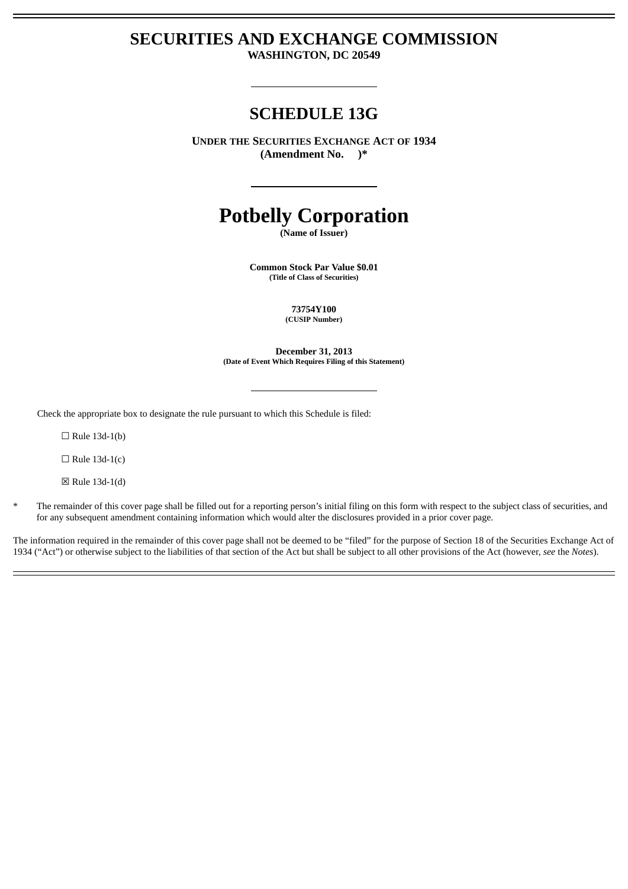# **SECURITIES AND EXCHANGE COMMISSION WASHINGTON, DC 20549**

# **SCHEDULE 13G**

**UNDER THE SECURITIES EXCHANGE ACT OF 1934 (Amendment No. )\***

# **Potbelly Corporation**

**(Name of Issuer)**

**Common Stock Par Value \$0.01 (Title of Class of Securities)**

> **73754Y100 (CUSIP Number)**

**December 31, 2013 (Date of Event Which Requires Filing of this Statement)**

Check the appropriate box to designate the rule pursuant to which this Schedule is filed:

 $\Box$  Rule 13d-1(b)

 $\Box$  Rule 13d-1(c)

 $\boxtimes$  Rule 13d-1(d)

\* The remainder of this cover page shall be filled out for a reporting person's initial filing on this form with respect to the subject class of securities, and for any subsequent amendment containing information which would alter the disclosures provided in a prior cover page.

The information required in the remainder of this cover page shall not be deemed to be "filed" for the purpose of Section 18 of the Securities Exchange Act of 1934 ("Act") or otherwise subject to the liabilities of that section of the Act but shall be subject to all other provisions of the Act (however, *see* the *Notes*).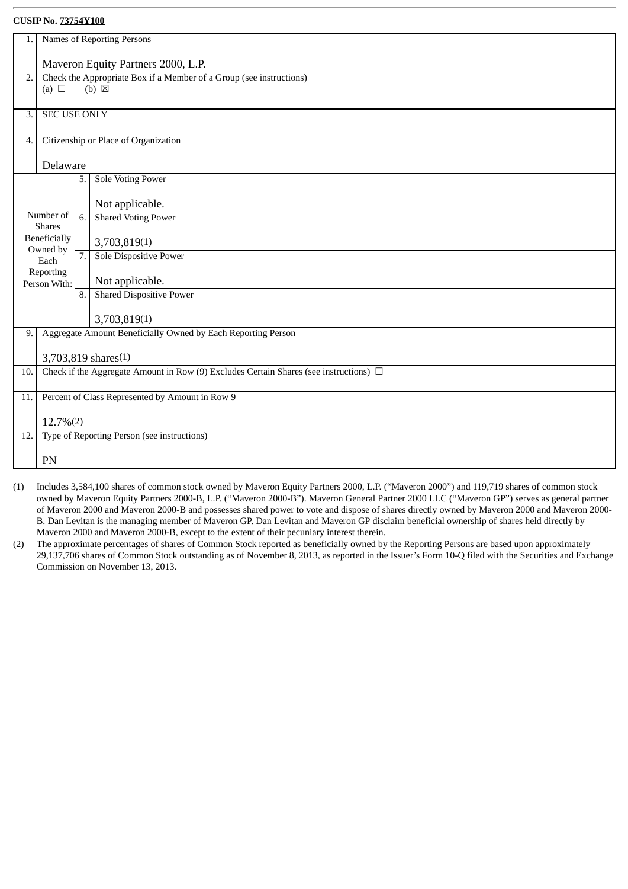|     |                                                 |                  | Names of Reporting Persons                                                                 |  |  |
|-----|-------------------------------------------------|------------------|--------------------------------------------------------------------------------------------|--|--|
| 1.  |                                                 |                  |                                                                                            |  |  |
|     | Maveron Equity Partners 2000, L.P.              |                  |                                                                                            |  |  |
| 2.  |                                                 |                  | Check the Appropriate Box if a Member of a Group (see instructions)                        |  |  |
|     | (a) $\Box$                                      |                  | $(b)$ $\boxtimes$                                                                          |  |  |
|     |                                                 |                  |                                                                                            |  |  |
| 3.  | <b>SEC USE ONLY</b>                             |                  |                                                                                            |  |  |
|     |                                                 |                  |                                                                                            |  |  |
| 4.  |                                                 |                  | Citizenship or Place of Organization                                                       |  |  |
|     |                                                 |                  |                                                                                            |  |  |
|     | Delaware                                        |                  |                                                                                            |  |  |
|     |                                                 | 5.               | Sole Voting Power                                                                          |  |  |
|     |                                                 |                  |                                                                                            |  |  |
|     |                                                 |                  | Not applicable.                                                                            |  |  |
|     | Number of<br><b>Shares</b>                      | 6.               | <b>Shared Voting Power</b>                                                                 |  |  |
|     | Beneficially                                    |                  |                                                                                            |  |  |
|     | Owned by                                        |                  | 3,703,819(1)                                                                               |  |  |
|     | Each                                            | $\overline{7}$ . | Sole Dispositive Power                                                                     |  |  |
|     | Reporting                                       |                  | Not applicable.                                                                            |  |  |
|     | Person With:                                    | 8.               | <b>Shared Dispositive Power</b>                                                            |  |  |
|     |                                                 |                  |                                                                                            |  |  |
|     |                                                 |                  | 3,703,819(1)                                                                               |  |  |
| 9.  |                                                 |                  | Aggregate Amount Beneficially Owned by Each Reporting Person                               |  |  |
|     |                                                 |                  |                                                                                            |  |  |
|     |                                                 |                  | 3,703,819 shares(1)                                                                        |  |  |
| 10. |                                                 |                  | Check if the Aggregate Amount in Row (9) Excludes Certain Shares (see instructions) $\Box$ |  |  |
|     |                                                 |                  |                                                                                            |  |  |
| 11. | Percent of Class Represented by Amount in Row 9 |                  |                                                                                            |  |  |
|     |                                                 |                  |                                                                                            |  |  |
|     | 12.7%(2)                                        |                  |                                                                                            |  |  |
| 12. |                                                 |                  | Type of Reporting Person (see instructions)                                                |  |  |
|     |                                                 |                  |                                                                                            |  |  |
|     | PN                                              |                  |                                                                                            |  |  |

- (1) Includes 3,584,100 shares of common stock owned by Maveron Equity Partners 2000, L.P. ("Maveron 2000") and 119,719 shares of common stock owned by Maveron Equity Partners 2000-B, L.P. ("Maveron 2000-B"). Maveron General Partner 2000 LLC ("Maveron GP") serves as general partner of Maveron 2000 and Maveron 2000-B and possesses shared power to vote and dispose of shares directly owned by Maveron 2000 and Maveron 2000- B. Dan Levitan is the managing member of Maveron GP. Dan Levitan and Maveron GP disclaim beneficial ownership of shares held directly by Maveron 2000 and Maveron 2000-B, except to the extent of their pecuniary interest therein.
- (2) The approximate percentages of shares of Common Stock reported as beneficially owned by the Reporting Persons are based upon approximately 29,137,706 shares of Common Stock outstanding as of November 8, 2013, as reported in the Issuer's Form 10-Q filed with the Securities and Exchange Commission on November 13, 2013.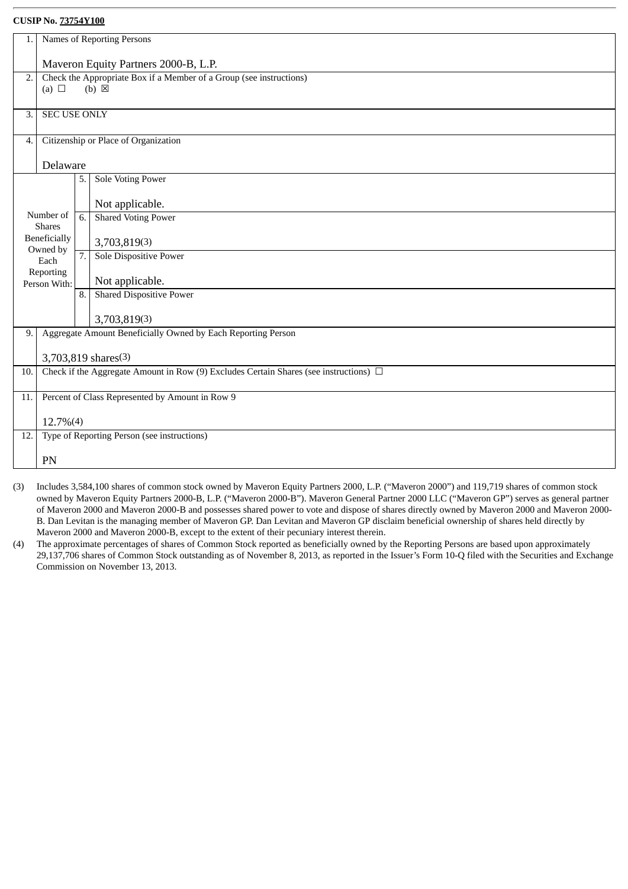| 1.               | Names of Reporting Persons           |                  |                                                                                            |  |  |  |
|------------------|--------------------------------------|------------------|--------------------------------------------------------------------------------------------|--|--|--|
|                  | Maveron Equity Partners 2000-B, L.P. |                  |                                                                                            |  |  |  |
|                  |                                      |                  |                                                                                            |  |  |  |
| $\overline{2}$ . | (a) $\Box$                           |                  | Check the Appropriate Box if a Member of a Group (see instructions)<br>$(b) \boxtimes$     |  |  |  |
|                  |                                      |                  |                                                                                            |  |  |  |
| 3.               | <b>SEC USE ONLY</b>                  |                  |                                                                                            |  |  |  |
|                  |                                      |                  |                                                                                            |  |  |  |
| 4.               |                                      |                  | Citizenship or Place of Organization                                                       |  |  |  |
|                  |                                      |                  |                                                                                            |  |  |  |
|                  | Delaware                             |                  |                                                                                            |  |  |  |
|                  |                                      | 5.               | Sole Voting Power                                                                          |  |  |  |
|                  |                                      |                  |                                                                                            |  |  |  |
|                  |                                      |                  | Not applicable.                                                                            |  |  |  |
|                  | Number of                            | 6.               | <b>Shared Voting Power</b>                                                                 |  |  |  |
|                  | <b>Shares</b>                        |                  |                                                                                            |  |  |  |
|                  | Beneficially<br>Owned by             |                  | 3,703,819(3)                                                                               |  |  |  |
|                  | Each                                 | $\overline{7}$ . | Sole Dispositive Power                                                                     |  |  |  |
|                  | Reporting                            |                  | Not applicable.                                                                            |  |  |  |
|                  | Person With:                         | 8.               | <b>Shared Dispositive Power</b>                                                            |  |  |  |
|                  |                                      |                  |                                                                                            |  |  |  |
|                  |                                      |                  | 3,703,819(3)                                                                               |  |  |  |
| 9.               |                                      |                  | Aggregate Amount Beneficially Owned by Each Reporting Person                               |  |  |  |
|                  |                                      |                  |                                                                                            |  |  |  |
|                  |                                      |                  | 3,703,819 shares(3)                                                                        |  |  |  |
| 10.              |                                      |                  | Check if the Aggregate Amount in Row (9) Excludes Certain Shares (see instructions) $\Box$ |  |  |  |
|                  |                                      |                  |                                                                                            |  |  |  |
| 11.              |                                      |                  | Percent of Class Represented by Amount in Row 9                                            |  |  |  |
|                  |                                      |                  |                                                                                            |  |  |  |
|                  | 12.7%(4)                             |                  |                                                                                            |  |  |  |
| 12.              |                                      |                  | Type of Reporting Person (see instructions)                                                |  |  |  |
|                  | PN                                   |                  |                                                                                            |  |  |  |
|                  |                                      |                  |                                                                                            |  |  |  |

- (3) Includes 3,584,100 shares of common stock owned by Maveron Equity Partners 2000, L.P. ("Maveron 2000") and 119,719 shares of common stock owned by Maveron Equity Partners 2000-B, L.P. ("Maveron 2000-B"). Maveron General Partner 2000 LLC ("Maveron GP") serves as general partner of Maveron 2000 and Maveron 2000-B and possesses shared power to vote and dispose of shares directly owned by Maveron 2000 and Maveron 2000- B. Dan Levitan is the managing member of Maveron GP. Dan Levitan and Maveron GP disclaim beneficial ownership of shares held directly by Maveron 2000 and Maveron 2000-B, except to the extent of their pecuniary interest therein.
- (4) The approximate percentages of shares of Common Stock reported as beneficially owned by the Reporting Persons are based upon approximately 29,137,706 shares of Common Stock outstanding as of November 8, 2013, as reported in the Issuer's Form 10-Q filed with the Securities and Exchange Commission on November 13, 2013.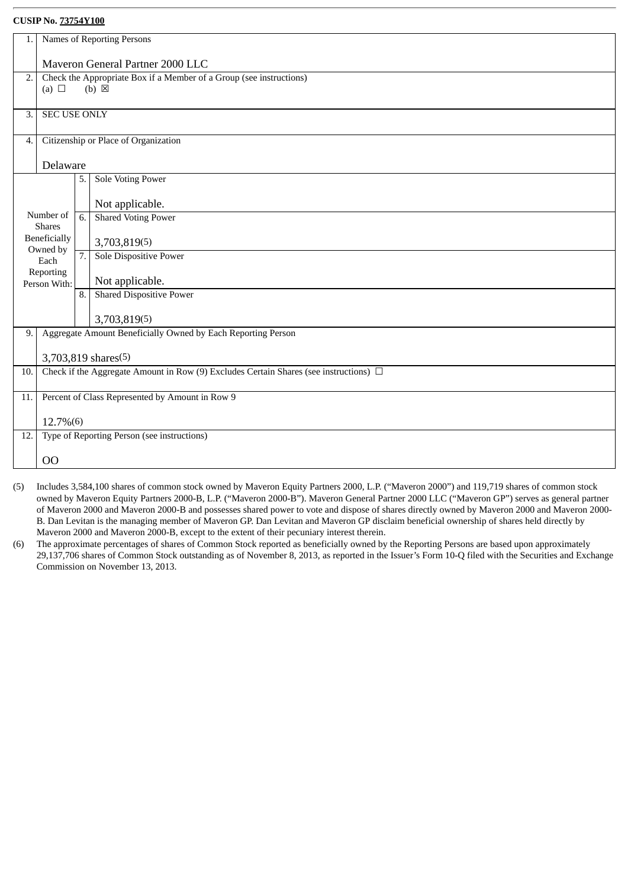| 1.  | Names of Reporting Persons                      |                  |                                                                                            |  |  |
|-----|-------------------------------------------------|------------------|--------------------------------------------------------------------------------------------|--|--|
|     | Maveron General Partner 2000 LLC                |                  |                                                                                            |  |  |
|     |                                                 |                  |                                                                                            |  |  |
| 2.  | (a) $\Box$                                      |                  | Check the Appropriate Box if a Member of a Group (see instructions)<br>$(b) \boxtimes$     |  |  |
|     |                                                 |                  |                                                                                            |  |  |
| 3.  | <b>SEC USE ONLY</b>                             |                  |                                                                                            |  |  |
|     |                                                 |                  |                                                                                            |  |  |
| 4.  |                                                 |                  | Citizenship or Place of Organization                                                       |  |  |
|     |                                                 |                  |                                                                                            |  |  |
|     | Delaware                                        |                  |                                                                                            |  |  |
|     |                                                 | 5.               | <b>Sole Voting Power</b>                                                                   |  |  |
|     |                                                 |                  |                                                                                            |  |  |
|     |                                                 |                  | Not applicable.                                                                            |  |  |
|     | Number of                                       | 6.               | <b>Shared Voting Power</b>                                                                 |  |  |
|     | <b>Shares</b>                                   |                  |                                                                                            |  |  |
|     | Beneficially<br>Owned by                        |                  | 3,703,819(5)                                                                               |  |  |
|     | Each                                            | $\overline{7}$ . | Sole Dispositive Power                                                                     |  |  |
|     | Reporting                                       |                  |                                                                                            |  |  |
|     | Person With:                                    |                  | Not applicable.                                                                            |  |  |
|     |                                                 | 8.               | <b>Shared Dispositive Power</b>                                                            |  |  |
|     |                                                 |                  |                                                                                            |  |  |
|     |                                                 |                  | 3,703,819(5)                                                                               |  |  |
| 9.  |                                                 |                  | Aggregate Amount Beneficially Owned by Each Reporting Person                               |  |  |
|     |                                                 |                  | 3,703,819 shares(5)                                                                        |  |  |
| 10. |                                                 |                  | Check if the Aggregate Amount in Row (9) Excludes Certain Shares (see instructions) $\Box$ |  |  |
|     |                                                 |                  |                                                                                            |  |  |
| 11. | Percent of Class Represented by Amount in Row 9 |                  |                                                                                            |  |  |
|     |                                                 |                  |                                                                                            |  |  |
|     | 12.7%(6)                                        |                  |                                                                                            |  |  |
| 12. |                                                 |                  | Type of Reporting Person (see instructions)                                                |  |  |
|     |                                                 |                  |                                                                                            |  |  |
|     | O <sub>O</sub>                                  |                  |                                                                                            |  |  |

- (5) Includes 3,584,100 shares of common stock owned by Maveron Equity Partners 2000, L.P. ("Maveron 2000") and 119,719 shares of common stock owned by Maveron Equity Partners 2000-B, L.P. ("Maveron 2000-B"). Maveron General Partner 2000 LLC ("Maveron GP") serves as general partner of Maveron 2000 and Maveron 2000-B and possesses shared power to vote and dispose of shares directly owned by Maveron 2000 and Maveron 2000- B. Dan Levitan is the managing member of Maveron GP. Dan Levitan and Maveron GP disclaim beneficial ownership of shares held directly by Maveron 2000 and Maveron 2000-B, except to the extent of their pecuniary interest therein.
- (6) The approximate percentages of shares of Common Stock reported as beneficially owned by the Reporting Persons are based upon approximately 29,137,706 shares of Common Stock outstanding as of November 8, 2013, as reported in the Issuer's Form 10-Q filed with the Securities and Exchange Commission on November 13, 2013.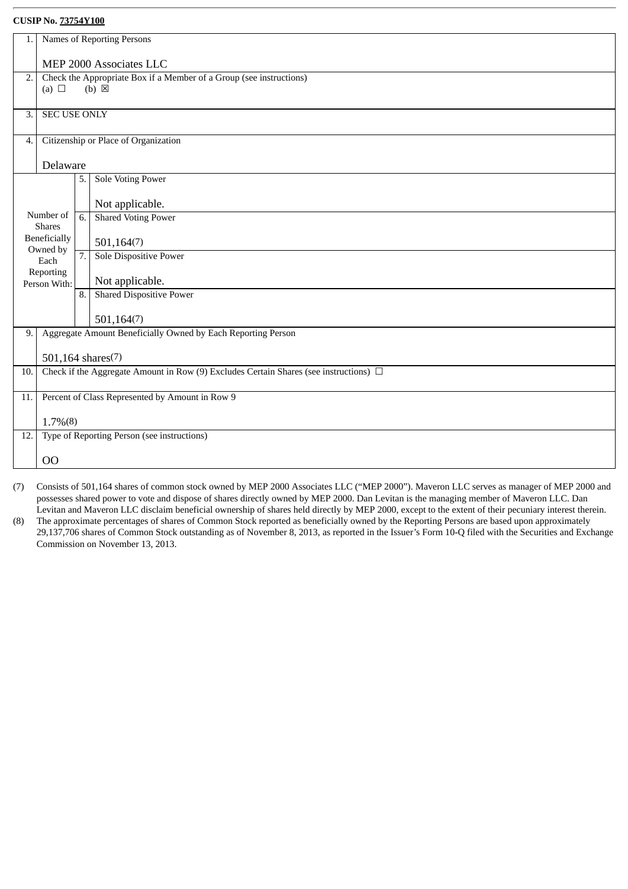| 1.               |                                                 |    | Names of Reporting Persons                                                                 |  |  |
|------------------|-------------------------------------------------|----|--------------------------------------------------------------------------------------------|--|--|
|                  |                                                 |    |                                                                                            |  |  |
|                  | MEP 2000 Associates LLC                         |    |                                                                                            |  |  |
| 2.               |                                                 |    | Check the Appropriate Box if a Member of a Group (see instructions)                        |  |  |
|                  | (a) $\Box$                                      |    | $(b) \boxtimes$                                                                            |  |  |
|                  |                                                 |    |                                                                                            |  |  |
| 3.               | <b>SEC USE ONLY</b>                             |    |                                                                                            |  |  |
|                  |                                                 |    |                                                                                            |  |  |
| $\overline{4}$ . |                                                 |    | Citizenship or Place of Organization                                                       |  |  |
|                  |                                                 |    |                                                                                            |  |  |
|                  | Delaware                                        |    |                                                                                            |  |  |
|                  |                                                 | 5. | <b>Sole Voting Power</b>                                                                   |  |  |
|                  |                                                 |    |                                                                                            |  |  |
|                  |                                                 |    | Not applicable.                                                                            |  |  |
|                  | Number of                                       | 6. | <b>Shared Voting Power</b>                                                                 |  |  |
|                  | <b>Shares</b>                                   |    |                                                                                            |  |  |
|                  | Beneficially<br>Owned by                        |    | 501,164(7)                                                                                 |  |  |
|                  | Each                                            | 7. | <b>Sole Dispositive Power</b>                                                              |  |  |
|                  | Reporting                                       |    |                                                                                            |  |  |
|                  | Person With:                                    |    | Not applicable.                                                                            |  |  |
|                  |                                                 | 8. | <b>Shared Dispositive Power</b>                                                            |  |  |
|                  |                                                 |    |                                                                                            |  |  |
|                  |                                                 |    | 501,164(7)                                                                                 |  |  |
| 9.               |                                                 |    | Aggregate Amount Beneficially Owned by Each Reporting Person                               |  |  |
|                  |                                                 |    |                                                                                            |  |  |
|                  | 501,164 shares(7)                               |    |                                                                                            |  |  |
| 10.              |                                                 |    | Check if the Aggregate Amount in Row (9) Excludes Certain Shares (see instructions) $\Box$ |  |  |
|                  |                                                 |    |                                                                                            |  |  |
| 11.              | Percent of Class Represented by Amount in Row 9 |    |                                                                                            |  |  |
|                  |                                                 |    |                                                                                            |  |  |
|                  | $1.7\%(8)$                                      |    |                                                                                            |  |  |
| 12.              |                                                 |    | Type of Reporting Person (see instructions)                                                |  |  |
|                  |                                                 |    |                                                                                            |  |  |
|                  | 00                                              |    |                                                                                            |  |  |
|                  |                                                 |    |                                                                                            |  |  |

(7) Consists of 501,164 shares of common stock owned by MEP 2000 Associates LLC ("MEP 2000"). Maveron LLC serves as manager of MEP 2000 and possesses shared power to vote and dispose of shares directly owned by MEP 2000. Dan Levitan is the managing member of Maveron LLC. Dan Levitan and Maveron LLC disclaim beneficial ownership of shares held directly by MEP 2000, except to the extent of their pecuniary interest therein.

(8) The approximate percentages of shares of Common Stock reported as beneficially owned by the Reporting Persons are based upon approximately 29,137,706 shares of Common Stock outstanding as of November 8, 2013, as reported in the Issuer's Form 10-Q filed with the Securities and Exchange Commission on November 13, 2013.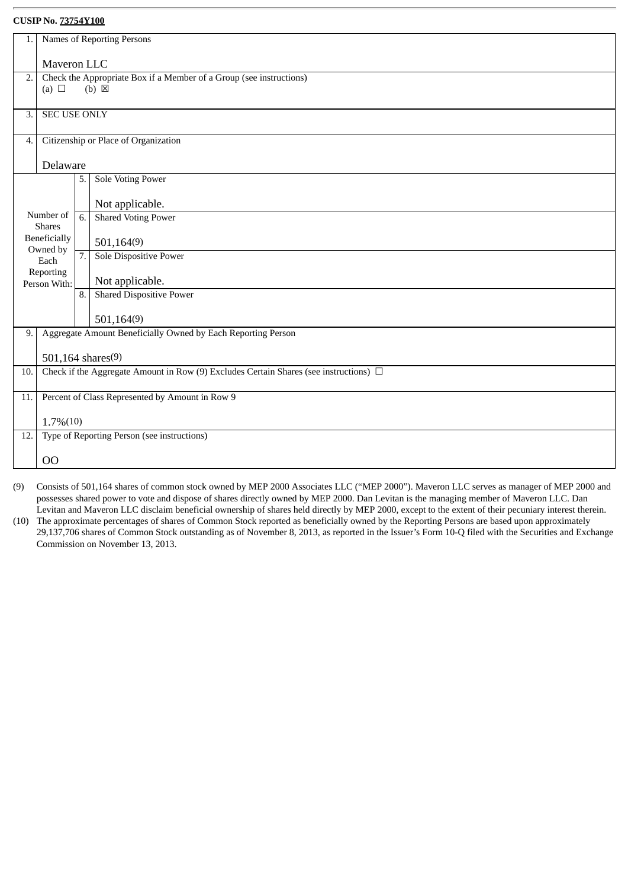| 1.               |                                                 | Names of Reporting Persons                                                                 |  |  |  |  |
|------------------|-------------------------------------------------|--------------------------------------------------------------------------------------------|--|--|--|--|
|                  | Maveron LLC                                     |                                                                                            |  |  |  |  |
| $\overline{2}$ . | (a) $\Box$                                      | Check the Appropriate Box if a Member of a Group (see instructions)<br>$(b) \boxtimes$     |  |  |  |  |
|                  |                                                 |                                                                                            |  |  |  |  |
| 3.               | <b>SEC USE ONLY</b>                             |                                                                                            |  |  |  |  |
| 4.               |                                                 | Citizenship or Place of Organization                                                       |  |  |  |  |
|                  | Delaware                                        |                                                                                            |  |  |  |  |
|                  |                                                 | <b>Sole Voting Power</b><br>5.                                                             |  |  |  |  |
|                  |                                                 | Not applicable.                                                                            |  |  |  |  |
|                  | Number of<br><b>Shares</b>                      | <b>Shared Voting Power</b><br>6.                                                           |  |  |  |  |
|                  | Beneficially                                    | 501,164(9)                                                                                 |  |  |  |  |
|                  | Owned by<br>Each                                | Sole Dispositive Power<br>7.                                                               |  |  |  |  |
|                  | Reporting<br>Person With:                       | Not applicable.                                                                            |  |  |  |  |
|                  |                                                 | <b>Shared Dispositive Power</b><br>8.                                                      |  |  |  |  |
|                  |                                                 | 501,164(9)                                                                                 |  |  |  |  |
| 9.               |                                                 | Aggregate Amount Beneficially Owned by Each Reporting Person                               |  |  |  |  |
|                  |                                                 | 501,164 shares(9)                                                                          |  |  |  |  |
| 10.              |                                                 | Check if the Aggregate Amount in Row (9) Excludes Certain Shares (see instructions) $\Box$ |  |  |  |  |
| 11.              | Percent of Class Represented by Amount in Row 9 |                                                                                            |  |  |  |  |
|                  | $1.7\%(10)$                                     |                                                                                            |  |  |  |  |
| 12.              | Type of Reporting Person (see instructions)     |                                                                                            |  |  |  |  |
|                  | 00                                              |                                                                                            |  |  |  |  |
|                  |                                                 |                                                                                            |  |  |  |  |

(9) Consists of 501,164 shares of common stock owned by MEP 2000 Associates LLC ("MEP 2000"). Maveron LLC serves as manager of MEP 2000 and possesses shared power to vote and dispose of shares directly owned by MEP 2000. Dan Levitan is the managing member of Maveron LLC. Dan Levitan and Maveron LLC disclaim beneficial ownership of shares held directly by MEP 2000, except to the extent of their pecuniary interest therein.

(10) The approximate percentages of shares of Common Stock reported as beneficially owned by the Reporting Persons are based upon approximately 29,137,706 shares of Common Stock outstanding as of November 8, 2013, as reported in the Issuer's Form 10-Q filed with the Securities and Exchange Commission on November 13, 2013.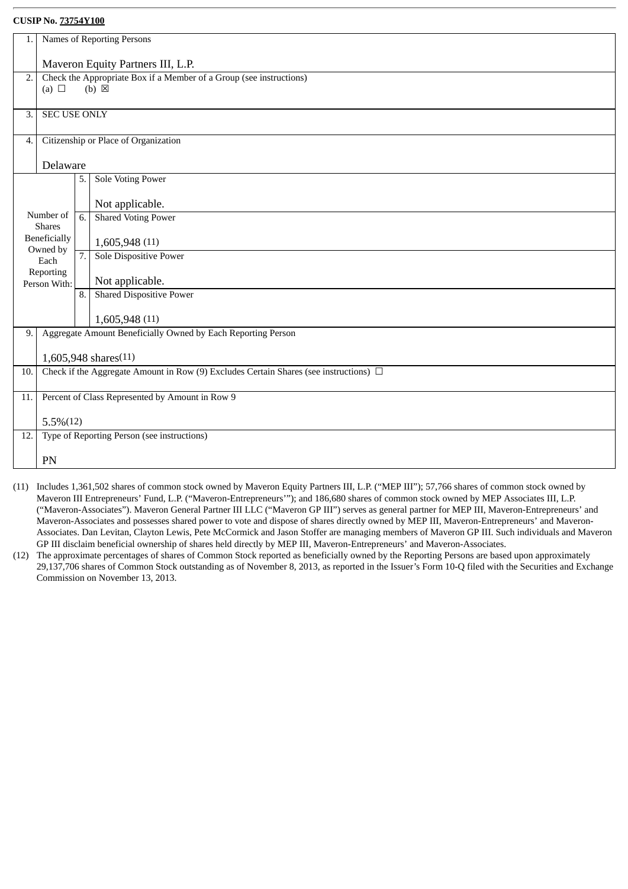| 1.               |                                                        |    | Names of Reporting Persons                                                                 |  |  |
|------------------|--------------------------------------------------------|----|--------------------------------------------------------------------------------------------|--|--|
|                  |                                                        |    |                                                                                            |  |  |
|                  |                                                        |    | Maveron Equity Partners III, L.P.                                                          |  |  |
| $\overline{2}$ . |                                                        |    | Check the Appropriate Box if a Member of a Group (see instructions)                        |  |  |
|                  | (a) $\Box$                                             |    | $(b) \boxtimes$                                                                            |  |  |
|                  |                                                        |    |                                                                                            |  |  |
| 3.               | <b>SEC USE ONLY</b>                                    |    |                                                                                            |  |  |
|                  |                                                        |    |                                                                                            |  |  |
| 4.               |                                                        |    | Citizenship or Place of Organization                                                       |  |  |
|                  | Delaware                                               |    |                                                                                            |  |  |
|                  |                                                        | 5. | <b>Sole Voting Power</b>                                                                   |  |  |
|                  |                                                        |    |                                                                                            |  |  |
|                  |                                                        |    | Not applicable.                                                                            |  |  |
|                  | Number of                                              | 6. | <b>Shared Voting Power</b>                                                                 |  |  |
|                  | <b>Shares</b>                                          |    |                                                                                            |  |  |
|                  | Beneficially                                           |    | 1,605,948 (11)                                                                             |  |  |
|                  | Owned by                                               | 7. | <b>Sole Dispositive Power</b>                                                              |  |  |
|                  | Each<br>Reporting                                      |    |                                                                                            |  |  |
|                  | Person With:                                           |    | Not applicable.                                                                            |  |  |
|                  |                                                        | 8. | <b>Shared Dispositive Power</b>                                                            |  |  |
|                  |                                                        |    |                                                                                            |  |  |
|                  |                                                        |    | 1,605,948 (11)                                                                             |  |  |
| 9.               |                                                        |    | Aggregate Amount Beneficially Owned by Each Reporting Person                               |  |  |
|                  |                                                        |    |                                                                                            |  |  |
|                  |                                                        |    | 1,605,948 shares(11)                                                                       |  |  |
| 10.              |                                                        |    | Check if the Aggregate Amount in Row (9) Excludes Certain Shares (see instructions) $\Box$ |  |  |
|                  |                                                        |    |                                                                                            |  |  |
|                  | Percent of Class Represented by Amount in Row 9<br>11. |    |                                                                                            |  |  |
|                  | $5.5\%(12)$                                            |    |                                                                                            |  |  |
|                  | Type of Reporting Person (see instructions)            |    |                                                                                            |  |  |
| 12.              |                                                        |    |                                                                                            |  |  |
|                  | PN                                                     |    |                                                                                            |  |  |
|                  |                                                        |    |                                                                                            |  |  |

- (11) Includes 1,361,502 shares of common stock owned by Maveron Equity Partners III, L.P. ("MEP III"); 57,766 shares of common stock owned by Maveron III Entrepreneurs' Fund, L.P. ("Maveron-Entrepreneurs'"); and 186,680 shares of common stock owned by MEP Associates III, L.P. ("Maveron-Associates"). Maveron General Partner III LLC ("Maveron GP III") serves as general partner for MEP III, Maveron-Entrepreneurs' and Maveron-Associates and possesses shared power to vote and dispose of shares directly owned by MEP III, Maveron-Entrepreneurs' and Maveron-Associates. Dan Levitan, Clayton Lewis, Pete McCormick and Jason Stoffer are managing members of Maveron GP III. Such individuals and Maveron GP III disclaim beneficial ownership of shares held directly by MEP III, Maveron-Entrepreneurs' and Maveron-Associates.
- (12) The approximate percentages of shares of Common Stock reported as beneficially owned by the Reporting Persons are based upon approximately 29,137,706 shares of Common Stock outstanding as of November 8, 2013, as reported in the Issuer's Form 10-Q filed with the Securities and Exchange Commission on November 13, 2013.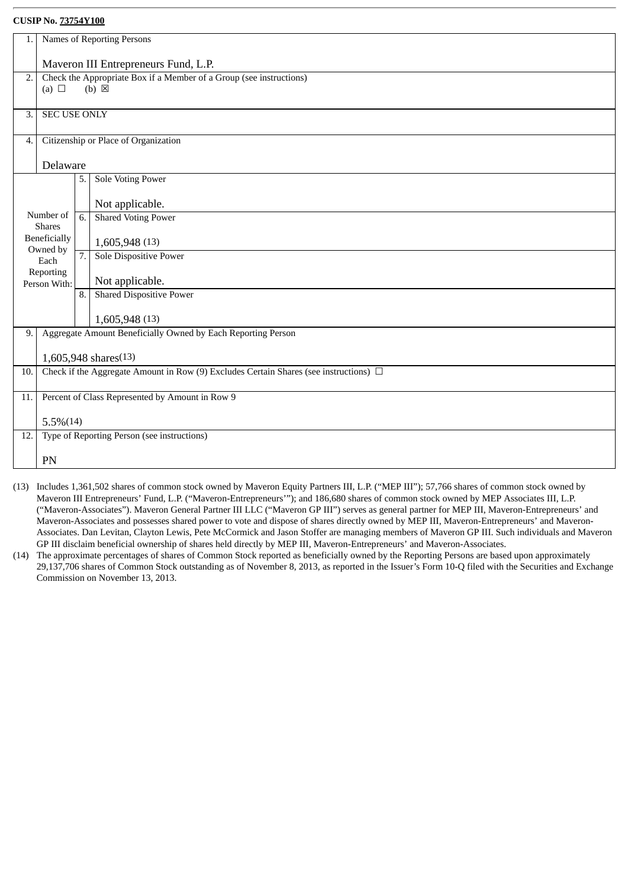| 1.  | Names of Reporting Persons                                                                             |    |                                                              |  |
|-----|--------------------------------------------------------------------------------------------------------|----|--------------------------------------------------------------|--|
|     | Maveron III Entrepreneurs Fund, L.P.                                                                   |    |                                                              |  |
| 2.  | Check the Appropriate Box if a Member of a Group (see instructions)<br>$(b)$ $\boxtimes$<br>(a) $\Box$ |    |                                                              |  |
|     |                                                                                                        |    |                                                              |  |
| 3.  | <b>SEC USE ONLY</b>                                                                                    |    |                                                              |  |
| 4.  |                                                                                                        |    | Citizenship or Place of Organization                         |  |
|     | Delaware                                                                                               |    |                                                              |  |
|     |                                                                                                        | 5. | <b>Sole Voting Power</b>                                     |  |
|     |                                                                                                        |    | Not applicable.                                              |  |
|     | Number of<br><b>Shares</b>                                                                             | 6. | <b>Shared Voting Power</b>                                   |  |
|     | Beneficially<br>Owned by                                                                               |    | 1,605,948 (13)                                               |  |
|     | Each                                                                                                   | 7. | <b>Sole Dispositive Power</b>                                |  |
|     | Reporting<br>Person With:                                                                              |    | Not applicable.                                              |  |
|     |                                                                                                        | 8. | <b>Shared Dispositive Power</b>                              |  |
|     |                                                                                                        |    | 1,605,948 (13)                                               |  |
| 9.  |                                                                                                        |    | Aggregate Amount Beneficially Owned by Each Reporting Person |  |
|     |                                                                                                        |    | 1,605,948 shares(13)                                         |  |
|     | Check if the Aggregate Amount in Row (9) Excludes Certain Shares (see instructions) $\Box$<br>10.      |    |                                                              |  |
| 11. | Percent of Class Represented by Amount in Row 9                                                        |    |                                                              |  |
|     | $5.5\%(14)$                                                                                            |    |                                                              |  |
| 12. |                                                                                                        |    | Type of Reporting Person (see instructions)                  |  |
|     | PN                                                                                                     |    |                                                              |  |

- (13) Includes 1,361,502 shares of common stock owned by Maveron Equity Partners III, L.P. ("MEP III"); 57,766 shares of common stock owned by Maveron III Entrepreneurs' Fund, L.P. ("Maveron-Entrepreneurs'"); and 186,680 shares of common stock owned by MEP Associates III, L.P. ("Maveron-Associates"). Maveron General Partner III LLC ("Maveron GP III") serves as general partner for MEP III, Maveron-Entrepreneurs' and Maveron-Associates and possesses shared power to vote and dispose of shares directly owned by MEP III, Maveron-Entrepreneurs' and Maveron-Associates. Dan Levitan, Clayton Lewis, Pete McCormick and Jason Stoffer are managing members of Maveron GP III. Such individuals and Maveron GP III disclaim beneficial ownership of shares held directly by MEP III, Maveron-Entrepreneurs' and Maveron-Associates.
- (14) The approximate percentages of shares of Common Stock reported as beneficially owned by the Reporting Persons are based upon approximately 29,137,706 shares of Common Stock outstanding as of November 8, 2013, as reported in the Issuer's Form 10-Q filed with the Securities and Exchange Commission on November 13, 2013.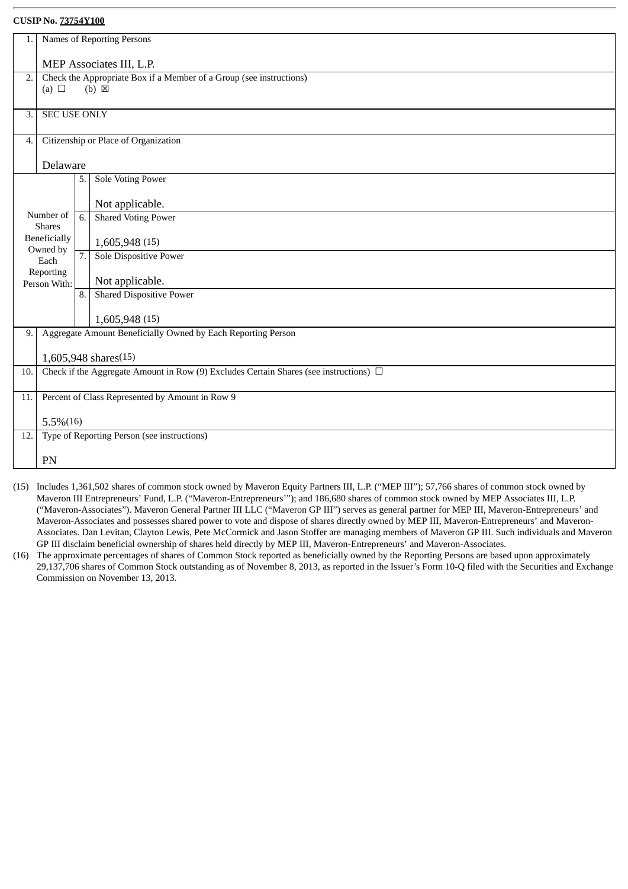| 1.               |                                                            |    | Names of Reporting Persons                                                                 |  |  |
|------------------|------------------------------------------------------------|----|--------------------------------------------------------------------------------------------|--|--|
|                  | MEP Associates III, L.P.                                   |    |                                                                                            |  |  |
|                  |                                                            |    |                                                                                            |  |  |
| $\overline{2}$ . | (a) $\Box$                                                 |    | Check the Appropriate Box if a Member of a Group (see instructions)<br>$(b) \boxtimes$     |  |  |
|                  |                                                            |    |                                                                                            |  |  |
| 3.               | <b>SEC USE ONLY</b>                                        |    |                                                                                            |  |  |
|                  |                                                            |    |                                                                                            |  |  |
| 4.               |                                                            |    | Citizenship or Place of Organization                                                       |  |  |
|                  |                                                            |    |                                                                                            |  |  |
|                  | Delaware                                                   |    |                                                                                            |  |  |
|                  |                                                            | 5. | Sole Voting Power                                                                          |  |  |
|                  |                                                            |    | Not applicable.                                                                            |  |  |
|                  | Number of                                                  | 6. | <b>Shared Voting Power</b>                                                                 |  |  |
|                  | <b>Shares</b>                                              |    |                                                                                            |  |  |
|                  | Beneficially                                               |    | 1,605,948 (15)                                                                             |  |  |
|                  | Owned by<br>Each                                           | 7. | Sole Dispositive Power                                                                     |  |  |
|                  | Reporting                                                  |    |                                                                                            |  |  |
|                  | Person With:                                               |    | Not applicable.                                                                            |  |  |
|                  |                                                            | 8. | <b>Shared Dispositive Power</b>                                                            |  |  |
|                  |                                                            |    | 1,605,948 (15)                                                                             |  |  |
| 9.               |                                                            |    | Aggregate Amount Beneficially Owned by Each Reporting Person                               |  |  |
|                  |                                                            |    |                                                                                            |  |  |
|                  |                                                            |    | 1,605,948 shares(15)                                                                       |  |  |
| 10.              |                                                            |    | Check if the Aggregate Amount in Row (9) Excludes Certain Shares (see instructions) $\Box$ |  |  |
|                  |                                                            |    |                                                                                            |  |  |
| 11.              |                                                            |    | Percent of Class Represented by Amount in Row 9                                            |  |  |
|                  |                                                            |    |                                                                                            |  |  |
|                  | $5.5\%(16)$<br>Type of Reporting Person (see instructions) |    |                                                                                            |  |  |
| 12.              |                                                            |    |                                                                                            |  |  |
|                  | PN                                                         |    |                                                                                            |  |  |
|                  |                                                            |    |                                                                                            |  |  |

- (15) Includes 1,361,502 shares of common stock owned by Maveron Equity Partners III, L.P. ("MEP III"); 57,766 shares of common stock owned by Maveron III Entrepreneurs' Fund, L.P. ("Maveron-Entrepreneurs'"); and 186,680 shares of common stock owned by MEP Associates III, L.P. ("Maveron-Associates"). Maveron General Partner III LLC ("Maveron GP III") serves as general partner for MEP III, Maveron-Entrepreneurs' and Maveron-Associates and possesses shared power to vote and dispose of shares directly owned by MEP III, Maveron-Entrepreneurs' and Maveron-Associates. Dan Levitan, Clayton Lewis, Pete McCormick and Jason Stoffer are managing members of Maveron GP III. Such individuals and Maveron GP III disclaim beneficial ownership of shares held directly by MEP III, Maveron-Entrepreneurs' and Maveron-Associates.
- (16) The approximate percentages of shares of Common Stock reported as beneficially owned by the Reporting Persons are based upon approximately 29,137,706 shares of Common Stock outstanding as of November 8, 2013, as reported in the Issuer's Form 10-Q filed with the Securities and Exchange Commission on November 13, 2013.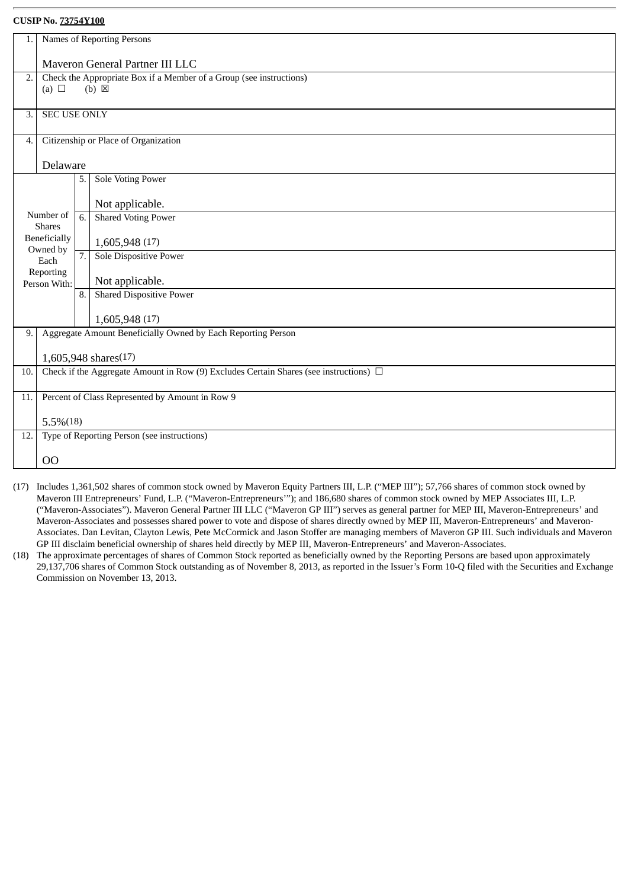| 1.  | Names of Reporting Persons                      |                  |                                                                                            |  |  |
|-----|-------------------------------------------------|------------------|--------------------------------------------------------------------------------------------|--|--|
|     |                                                 |                  |                                                                                            |  |  |
|     |                                                 |                  | Maveron General Partner III LLC                                                            |  |  |
| 2.  |                                                 |                  | Check the Appropriate Box if a Member of a Group (see instructions)                        |  |  |
|     | (a) $\Box$                                      |                  | $(b) \boxtimes$                                                                            |  |  |
|     |                                                 |                  |                                                                                            |  |  |
| 3.  | <b>SEC USE ONLY</b>                             |                  |                                                                                            |  |  |
|     |                                                 |                  |                                                                                            |  |  |
| 4.  |                                                 |                  | Citizenship or Place of Organization                                                       |  |  |
|     |                                                 |                  |                                                                                            |  |  |
|     | Delaware                                        |                  |                                                                                            |  |  |
|     |                                                 | 5.               | <b>Sole Voting Power</b>                                                                   |  |  |
|     |                                                 |                  | Not applicable.                                                                            |  |  |
|     | Number of                                       |                  | <b>Shared Voting Power</b>                                                                 |  |  |
|     | <b>Shares</b>                                   | 6.               |                                                                                            |  |  |
|     | Beneficially                                    |                  | 1,605,948 (17)                                                                             |  |  |
|     | Owned by                                        | $\overline{7}$ . | <b>Sole Dispositive Power</b>                                                              |  |  |
|     | Each                                            |                  |                                                                                            |  |  |
|     | Reporting<br>Person With:                       |                  | Not applicable.                                                                            |  |  |
|     |                                                 | 8.               | <b>Shared Dispositive Power</b>                                                            |  |  |
|     |                                                 |                  |                                                                                            |  |  |
|     |                                                 |                  | 1,605,948 (17)                                                                             |  |  |
| 9.  |                                                 |                  | Aggregate Amount Beneficially Owned by Each Reporting Person                               |  |  |
|     |                                                 |                  |                                                                                            |  |  |
|     |                                                 |                  | 1,605,948 shares(17)                                                                       |  |  |
| 10. |                                                 |                  | Check if the Aggregate Amount in Row (9) Excludes Certain Shares (see instructions) $\Box$ |  |  |
|     |                                                 |                  |                                                                                            |  |  |
| 11. | Percent of Class Represented by Amount in Row 9 |                  |                                                                                            |  |  |
|     |                                                 |                  |                                                                                            |  |  |
|     | $5.5\%(18)$                                     |                  |                                                                                            |  |  |
| 12. |                                                 |                  | Type of Reporting Person (see instructions)                                                |  |  |
|     |                                                 |                  |                                                                                            |  |  |
|     | O <sub>O</sub>                                  |                  |                                                                                            |  |  |

- (17) Includes 1,361,502 shares of common stock owned by Maveron Equity Partners III, L.P. ("MEP III"); 57,766 shares of common stock owned by Maveron III Entrepreneurs' Fund, L.P. ("Maveron-Entrepreneurs'"); and 186,680 shares of common stock owned by MEP Associates III, L.P. ("Maveron-Associates"). Maveron General Partner III LLC ("Maveron GP III") serves as general partner for MEP III, Maveron-Entrepreneurs' and Maveron-Associates and possesses shared power to vote and dispose of shares directly owned by MEP III, Maveron-Entrepreneurs' and Maveron-Associates. Dan Levitan, Clayton Lewis, Pete McCormick and Jason Stoffer are managing members of Maveron GP III. Such individuals and Maveron GP III disclaim beneficial ownership of shares held directly by MEP III, Maveron-Entrepreneurs' and Maveron-Associates.
- (18) The approximate percentages of shares of Common Stock reported as beneficially owned by the Reporting Persons are based upon approximately 29,137,706 shares of Common Stock outstanding as of November 8, 2013, as reported in the Issuer's Form 10-Q filed with the Securities and Exchange Commission on November 13, 2013.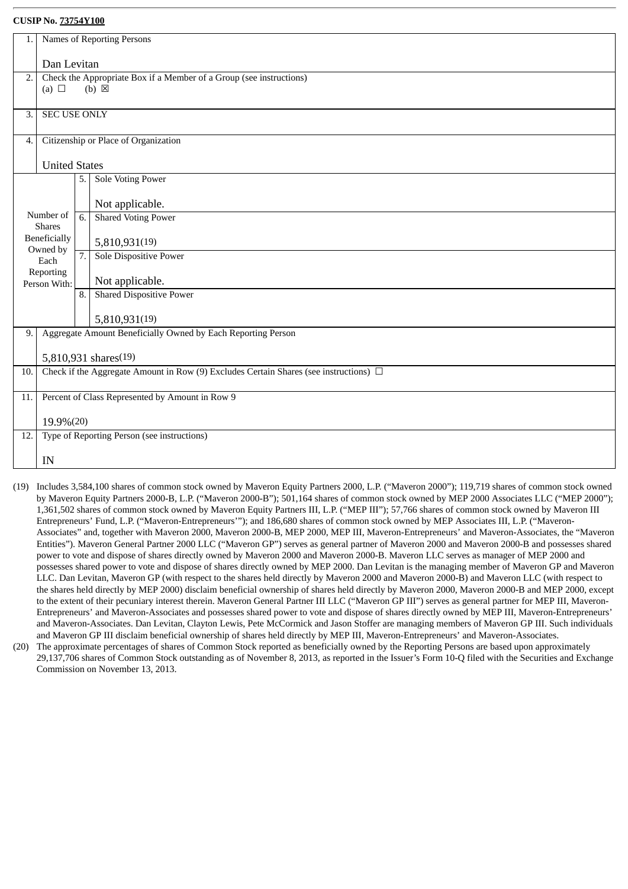| 1.               |                      |             | Names of Reporting Persons                                                                 |  |  |  |
|------------------|----------------------|-------------|--------------------------------------------------------------------------------------------|--|--|--|
|                  |                      |             |                                                                                            |  |  |  |
|                  |                      | Dan Levitan |                                                                                            |  |  |  |
| $\overline{2}$ . |                      |             | Check the Appropriate Box if a Member of a Group (see instructions)                        |  |  |  |
|                  | (a) $\Box$           |             | $(b) \boxtimes$                                                                            |  |  |  |
|                  |                      |             |                                                                                            |  |  |  |
| 3.               | <b>SEC USE ONLY</b>  |             |                                                                                            |  |  |  |
| 4.               |                      |             | Citizenship or Place of Organization                                                       |  |  |  |
|                  |                      |             |                                                                                            |  |  |  |
|                  | <b>United States</b> |             |                                                                                            |  |  |  |
|                  |                      | 5.          | <b>Sole Voting Power</b>                                                                   |  |  |  |
|                  |                      |             | Not applicable.                                                                            |  |  |  |
|                  | Number of            | 6.          | <b>Shared Voting Power</b>                                                                 |  |  |  |
|                  | <b>Shares</b>        |             |                                                                                            |  |  |  |
|                  | Beneficially         |             | 5,810,931(19)                                                                              |  |  |  |
|                  | Owned by<br>Each     | 7.          | Sole Dispositive Power                                                                     |  |  |  |
|                  | Reporting            |             |                                                                                            |  |  |  |
|                  | Person With:         |             | Not applicable.                                                                            |  |  |  |
|                  |                      | 8.          | <b>Shared Dispositive Power</b>                                                            |  |  |  |
|                  |                      |             | 5,810,931(19)                                                                              |  |  |  |
| 9.               |                      |             | Aggregate Amount Beneficially Owned by Each Reporting Person                               |  |  |  |
|                  |                      |             |                                                                                            |  |  |  |
|                  |                      |             | 5,810,931 shares(19)                                                                       |  |  |  |
| 10.              |                      |             | Check if the Aggregate Amount in Row (9) Excludes Certain Shares (see instructions) $\Box$ |  |  |  |
|                  |                      |             |                                                                                            |  |  |  |
| 11.              |                      |             | Percent of Class Represented by Amount in Row 9                                            |  |  |  |
|                  |                      |             |                                                                                            |  |  |  |
|                  | 19.9%(20)            |             |                                                                                            |  |  |  |
| 12.              |                      |             | Type of Reporting Person (see instructions)                                                |  |  |  |
|                  |                      |             |                                                                                            |  |  |  |
|                  | IN                   |             |                                                                                            |  |  |  |

- (19) Includes 3,584,100 shares of common stock owned by Maveron Equity Partners 2000, L.P. ("Maveron 2000"); 119,719 shares of common stock owned by Maveron Equity Partners 2000-B, L.P. ("Maveron 2000-B"); 501,164 shares of common stock owned by MEP 2000 Associates LLC ("MEP 2000"); 1,361,502 shares of common stock owned by Maveron Equity Partners III, L.P. ("MEP III"); 57,766 shares of common stock owned by Maveron III Entrepreneurs' Fund, L.P. ("Maveron-Entrepreneurs'"); and 186,680 shares of common stock owned by MEP Associates III, L.P. ("Maveron-Associates" and, together with Maveron 2000, Maveron 2000-B, MEP 2000, MEP III, Maveron-Entrepreneurs' and Maveron-Associates, the "Maveron Entities"). Maveron General Partner 2000 LLC ("Maveron GP") serves as general partner of Maveron 2000 and Maveron 2000-B and possesses shared power to vote and dispose of shares directly owned by Maveron 2000 and Maveron 2000-B. Maveron LLC serves as manager of MEP 2000 and possesses shared power to vote and dispose of shares directly owned by MEP 2000. Dan Levitan is the managing member of Maveron GP and Maveron LLC. Dan Levitan, Maveron GP (with respect to the shares held directly by Maveron 2000 and Maveron 2000-B) and Maveron LLC (with respect to the shares held directly by MEP 2000) disclaim beneficial ownership of shares held directly by Maveron 2000, Maveron 2000-B and MEP 2000, except to the extent of their pecuniary interest therein. Maveron General Partner III LLC ("Maveron GP III") serves as general partner for MEP III, Maveron-Entrepreneurs' and Maveron-Associates and possesses shared power to vote and dispose of shares directly owned by MEP III, Maveron-Entrepreneurs' and Maveron-Associates. Dan Levitan, Clayton Lewis, Pete McCormick and Jason Stoffer are managing members of Maveron GP III. Such individuals and Maveron GP III disclaim beneficial ownership of shares held directly by MEP III, Maveron-Entrepreneurs' and Maveron-Associates.
- (20) The approximate percentages of shares of Common Stock reported as beneficially owned by the Reporting Persons are based upon approximately 29,137,706 shares of Common Stock outstanding as of November 8, 2013, as reported in the Issuer's Form 10-Q filed with the Securities and Exchange Commission on November 13, 2013.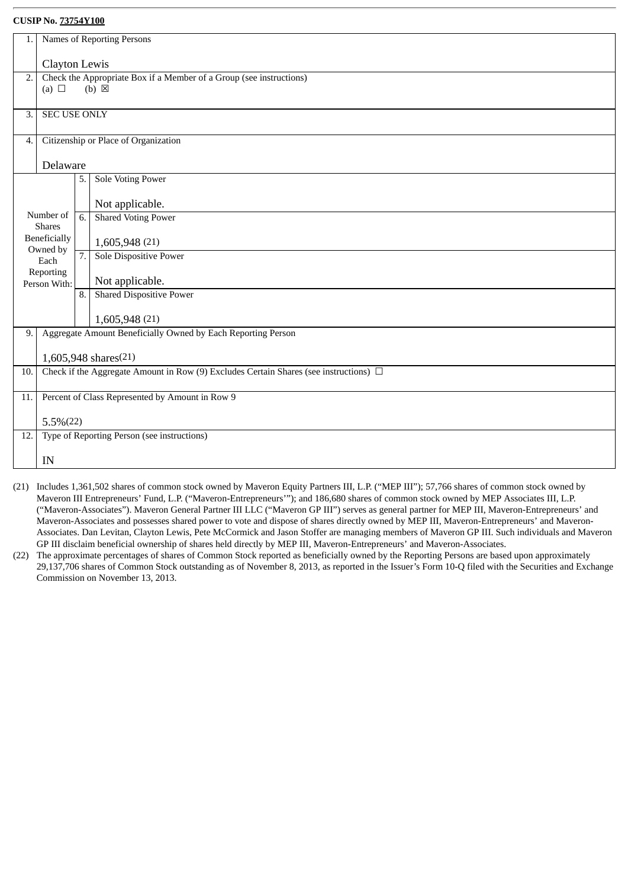| 1.               |                                                            |    | Names of Reporting Persons                                                                                         |  |  |
|------------------|------------------------------------------------------------|----|--------------------------------------------------------------------------------------------------------------------|--|--|
|                  | Clayton Lewis                                              |    |                                                                                                                    |  |  |
| $\overline{2}$ . |                                                            |    | Check the Appropriate Box if a Member of a Group (see instructions)                                                |  |  |
|                  | (a) $\Box$                                                 |    | $(b) \boxtimes$                                                                                                    |  |  |
|                  |                                                            |    |                                                                                                                    |  |  |
| 3.               | <b>SEC USE ONLY</b>                                        |    |                                                                                                                    |  |  |
|                  |                                                            |    |                                                                                                                    |  |  |
| 4.               |                                                            |    | Citizenship or Place of Organization                                                                               |  |  |
|                  | Delaware                                                   |    |                                                                                                                    |  |  |
|                  |                                                            | 5. | <b>Sole Voting Power</b>                                                                                           |  |  |
|                  |                                                            |    |                                                                                                                    |  |  |
|                  |                                                            |    | Not applicable.                                                                                                    |  |  |
|                  | Number of<br><b>Shares</b>                                 | 6. | <b>Shared Voting Power</b>                                                                                         |  |  |
|                  | Beneficially                                               |    | 1,605,948 (21)                                                                                                     |  |  |
|                  | Owned by<br>Each                                           | 7. | <b>Sole Dispositive Power</b>                                                                                      |  |  |
|                  | Reporting                                                  |    |                                                                                                                    |  |  |
|                  | Person With:                                               |    | Not applicable.                                                                                                    |  |  |
|                  |                                                            | 8. | <b>Shared Dispositive Power</b>                                                                                    |  |  |
|                  |                                                            |    | 1,605,948 (21)                                                                                                     |  |  |
| 9.               |                                                            |    | Aggregate Amount Beneficially Owned by Each Reporting Person                                                       |  |  |
|                  |                                                            |    |                                                                                                                    |  |  |
| 10.              |                                                            |    | 1,605,948 shares(21)<br>Check if the Aggregate Amount in Row (9) Excludes Certain Shares (see instructions) $\Box$ |  |  |
|                  |                                                            |    |                                                                                                                    |  |  |
| 11.              | Percent of Class Represented by Amount in Row 9            |    |                                                                                                                    |  |  |
|                  |                                                            |    |                                                                                                                    |  |  |
| 12.              | $5.5\%(22)$<br>Type of Reporting Person (see instructions) |    |                                                                                                                    |  |  |
|                  |                                                            |    |                                                                                                                    |  |  |
|                  | IN                                                         |    |                                                                                                                    |  |  |
|                  |                                                            |    |                                                                                                                    |  |  |

- (21) Includes 1,361,502 shares of common stock owned by Maveron Equity Partners III, L.P. ("MEP III"); 57,766 shares of common stock owned by Maveron III Entrepreneurs' Fund, L.P. ("Maveron-Entrepreneurs'"); and 186,680 shares of common stock owned by MEP Associates III, L.P. ("Maveron-Associates"). Maveron General Partner III LLC ("Maveron GP III") serves as general partner for MEP III, Maveron-Entrepreneurs' and Maveron-Associates and possesses shared power to vote and dispose of shares directly owned by MEP III, Maveron-Entrepreneurs' and Maveron-Associates. Dan Levitan, Clayton Lewis, Pete McCormick and Jason Stoffer are managing members of Maveron GP III. Such individuals and Maveron GP III disclaim beneficial ownership of shares held directly by MEP III, Maveron-Entrepreneurs' and Maveron-Associates.
- (22) The approximate percentages of shares of Common Stock reported as beneficially owned by the Reporting Persons are based upon approximately 29,137,706 shares of Common Stock outstanding as of November 8, 2013, as reported in the Issuer's Form 10-Q filed with the Securities and Exchange Commission on November 13, 2013.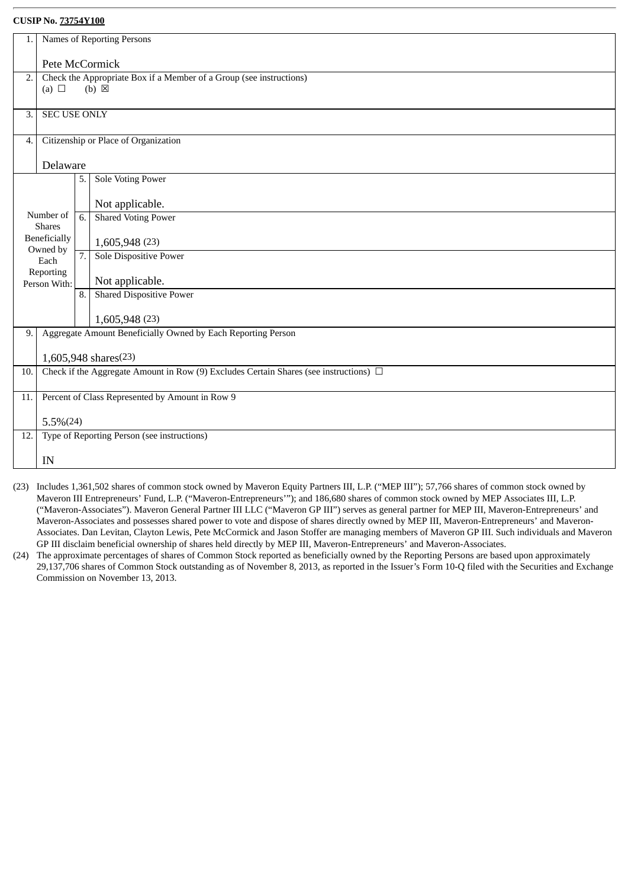| 1.               |                                                 |    | Names of Reporting Persons                                                                                         |  |  |
|------------------|-------------------------------------------------|----|--------------------------------------------------------------------------------------------------------------------|--|--|
|                  | Pete McCormick                                  |    |                                                                                                                    |  |  |
|                  |                                                 |    |                                                                                                                    |  |  |
| $\overline{2}$ . |                                                 |    | Check the Appropriate Box if a Member of a Group (see instructions)                                                |  |  |
|                  | (a) $\Box$                                      |    | $(b) \boxtimes$                                                                                                    |  |  |
| 3.               | <b>SEC USE ONLY</b>                             |    |                                                                                                                    |  |  |
|                  |                                                 |    |                                                                                                                    |  |  |
| $\overline{4}$ . |                                                 |    | Citizenship or Place of Organization                                                                               |  |  |
|                  |                                                 |    |                                                                                                                    |  |  |
|                  | Delaware                                        |    |                                                                                                                    |  |  |
|                  |                                                 | 5. | <b>Sole Voting Power</b>                                                                                           |  |  |
|                  |                                                 |    |                                                                                                                    |  |  |
|                  |                                                 |    | Not applicable.                                                                                                    |  |  |
|                  | Number of<br><b>Shares</b>                      | 6. | <b>Shared Voting Power</b>                                                                                         |  |  |
|                  | Beneficially                                    |    |                                                                                                                    |  |  |
|                  | Owned by                                        |    | 1,605,948 (23)                                                                                                     |  |  |
|                  | Each                                            | 7. | <b>Sole Dispositive Power</b>                                                                                      |  |  |
|                  | Reporting                                       |    | Not applicable.                                                                                                    |  |  |
|                  | Person With:                                    | 8. | <b>Shared Dispositive Power</b>                                                                                    |  |  |
|                  |                                                 |    |                                                                                                                    |  |  |
|                  |                                                 |    | 1,605,948 (23)                                                                                                     |  |  |
| 9.               |                                                 |    | Aggregate Amount Beneficially Owned by Each Reporting Person                                                       |  |  |
|                  |                                                 |    |                                                                                                                    |  |  |
| 10.              |                                                 |    | 1,605,948 shares(23)<br>Check if the Aggregate Amount in Row (9) Excludes Certain Shares (see instructions) $\Box$ |  |  |
|                  |                                                 |    |                                                                                                                    |  |  |
| 11.              | Percent of Class Represented by Amount in Row 9 |    |                                                                                                                    |  |  |
|                  |                                                 |    |                                                                                                                    |  |  |
|                  | $5.5\%(24)$                                     |    |                                                                                                                    |  |  |
| 12.              |                                                 |    | Type of Reporting Person (see instructions)                                                                        |  |  |
|                  | IN                                              |    |                                                                                                                    |  |  |
|                  |                                                 |    |                                                                                                                    |  |  |

- (23) Includes 1,361,502 shares of common stock owned by Maveron Equity Partners III, L.P. ("MEP III"); 57,766 shares of common stock owned by Maveron III Entrepreneurs' Fund, L.P. ("Maveron-Entrepreneurs'"); and 186,680 shares of common stock owned by MEP Associates III, L.P. ("Maveron-Associates"). Maveron General Partner III LLC ("Maveron GP III") serves as general partner for MEP III, Maveron-Entrepreneurs' and Maveron-Associates and possesses shared power to vote and dispose of shares directly owned by MEP III, Maveron-Entrepreneurs' and Maveron-Associates. Dan Levitan, Clayton Lewis, Pete McCormick and Jason Stoffer are managing members of Maveron GP III. Such individuals and Maveron GP III disclaim beneficial ownership of shares held directly by MEP III, Maveron-Entrepreneurs' and Maveron-Associates.
- (24) The approximate percentages of shares of Common Stock reported as beneficially owned by the Reporting Persons are based upon approximately 29,137,706 shares of Common Stock outstanding as of November 8, 2013, as reported in the Issuer's Form 10-Q filed with the Securities and Exchange Commission on November 13, 2013.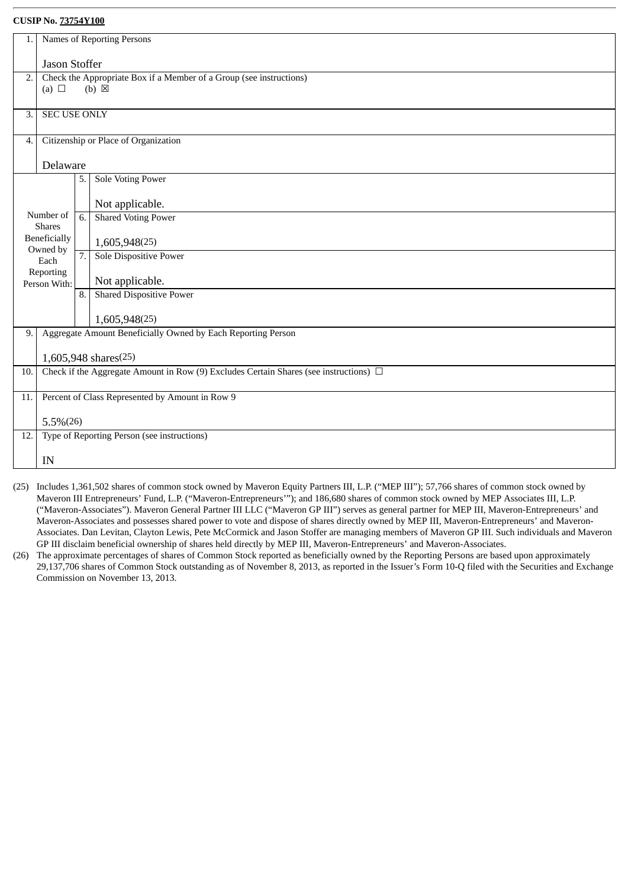| 1.                                                                 | Names of Reporting Persons                                                                                               |    |                                                 |  |  |
|--------------------------------------------------------------------|--------------------------------------------------------------------------------------------------------------------------|----|-------------------------------------------------|--|--|
|                                                                    |                                                                                                                          |    |                                                 |  |  |
|                                                                    | Jason Stoffer                                                                                                            |    |                                                 |  |  |
|                                                                    | Check the Appropriate Box if a Member of a Group (see instructions)<br>$\overline{2}$ .<br>(a) $\Box$<br>$(b) \boxtimes$ |    |                                                 |  |  |
|                                                                    |                                                                                                                          |    |                                                 |  |  |
| 3.                                                                 | <b>SEC USE ONLY</b>                                                                                                      |    |                                                 |  |  |
|                                                                    |                                                                                                                          |    |                                                 |  |  |
| 4.                                                                 | Citizenship or Place of Organization                                                                                     |    |                                                 |  |  |
|                                                                    |                                                                                                                          |    |                                                 |  |  |
|                                                                    | Delaware                                                                                                                 |    |                                                 |  |  |
|                                                                    |                                                                                                                          | 5. | <b>Sole Voting Power</b>                        |  |  |
|                                                                    |                                                                                                                          |    | Not applicable.                                 |  |  |
| Number of                                                          |                                                                                                                          | 6. | <b>Shared Voting Power</b>                      |  |  |
|                                                                    | <b>Shares</b>                                                                                                            |    |                                                 |  |  |
| Beneficially                                                       |                                                                                                                          |    | 1,605,948(25)                                   |  |  |
| Owned by<br>Each                                                   |                                                                                                                          | 7. | Sole Dispositive Power                          |  |  |
| Reporting                                                          |                                                                                                                          |    |                                                 |  |  |
|                                                                    | Person With:                                                                                                             |    | Not applicable.                                 |  |  |
|                                                                    |                                                                                                                          | 8. | <b>Shared Dispositive Power</b>                 |  |  |
|                                                                    |                                                                                                                          |    | 1,605,948(25)                                   |  |  |
| Aggregate Amount Beneficially Owned by Each Reporting Person<br>9. |                                                                                                                          |    |                                                 |  |  |
|                                                                    |                                                                                                                          |    |                                                 |  |  |
|                                                                    | 1,605,948 shares(25)                                                                                                     |    |                                                 |  |  |
| 10.                                                                | Check if the Aggregate Amount in Row (9) Excludes Certain Shares (see instructions) $\Box$                               |    |                                                 |  |  |
|                                                                    |                                                                                                                          |    |                                                 |  |  |
| 11.                                                                |                                                                                                                          |    | Percent of Class Represented by Amount in Row 9 |  |  |
|                                                                    | $5.5\%(26)$                                                                                                              |    |                                                 |  |  |
| 12.                                                                | Type of Reporting Person (see instructions)                                                                              |    |                                                 |  |  |
|                                                                    |                                                                                                                          |    |                                                 |  |  |
|                                                                    | IN                                                                                                                       |    |                                                 |  |  |
|                                                                    |                                                                                                                          |    |                                                 |  |  |

- (25) Includes 1,361,502 shares of common stock owned by Maveron Equity Partners III, L.P. ("MEP III"); 57,766 shares of common stock owned by Maveron III Entrepreneurs' Fund, L.P. ("Maveron-Entrepreneurs'"); and 186,680 shares of common stock owned by MEP Associates III, L.P. ("Maveron-Associates"). Maveron General Partner III LLC ("Maveron GP III") serves as general partner for MEP III, Maveron-Entrepreneurs' and Maveron-Associates and possesses shared power to vote and dispose of shares directly owned by MEP III, Maveron-Entrepreneurs' and Maveron-Associates. Dan Levitan, Clayton Lewis, Pete McCormick and Jason Stoffer are managing members of Maveron GP III. Such individuals and Maveron GP III disclaim beneficial ownership of shares held directly by MEP III, Maveron-Entrepreneurs' and Maveron-Associates.
- (26) The approximate percentages of shares of Common Stock reported as beneficially owned by the Reporting Persons are based upon approximately 29,137,706 shares of Common Stock outstanding as of November 8, 2013, as reported in the Issuer's Form 10-Q filed with the Securities and Exchange Commission on November 13, 2013.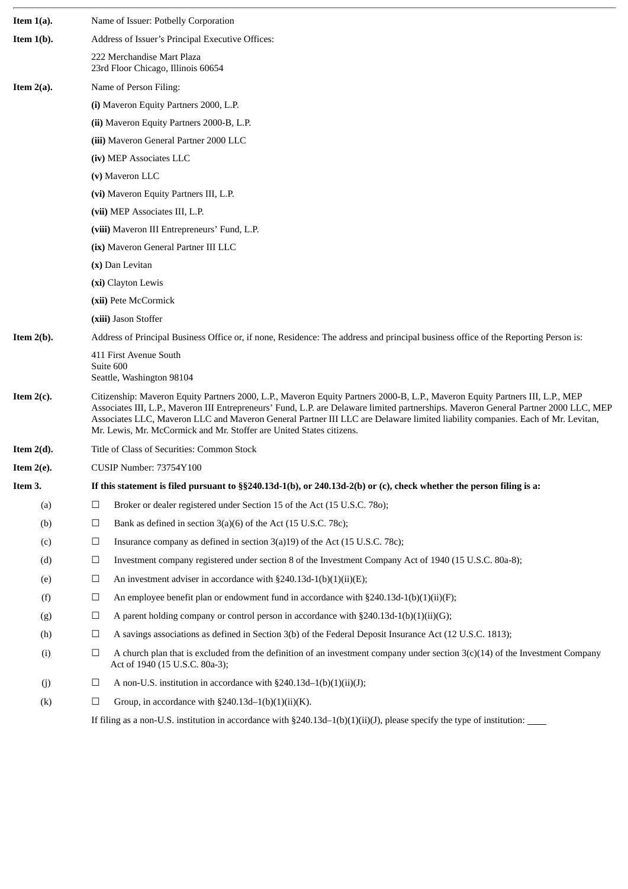| Item 1(a). |        | Name of Issuer: Potbelly Corporation                                                                                                                                                                                                                                                                                                                                                                                                                                            |  |  |  |
|------------|--------|---------------------------------------------------------------------------------------------------------------------------------------------------------------------------------------------------------------------------------------------------------------------------------------------------------------------------------------------------------------------------------------------------------------------------------------------------------------------------------|--|--|--|
| Item 1(b). |        | Address of Issuer's Principal Executive Offices:                                                                                                                                                                                                                                                                                                                                                                                                                                |  |  |  |
|            |        | 222 Merchandise Mart Plaza<br>23rd Floor Chicago, Illinois 60654                                                                                                                                                                                                                                                                                                                                                                                                                |  |  |  |
| Item 2(a). |        | Name of Person Filing:                                                                                                                                                                                                                                                                                                                                                                                                                                                          |  |  |  |
|            |        | (i) Maveron Equity Partners 2000, L.P.                                                                                                                                                                                                                                                                                                                                                                                                                                          |  |  |  |
|            |        | (ii) Maveron Equity Partners 2000-B, L.P.                                                                                                                                                                                                                                                                                                                                                                                                                                       |  |  |  |
|            |        | (iii) Maveron General Partner 2000 LLC                                                                                                                                                                                                                                                                                                                                                                                                                                          |  |  |  |
|            |        | (iv) MEP Associates LLC                                                                                                                                                                                                                                                                                                                                                                                                                                                         |  |  |  |
|            |        | (v) Maveron LLC                                                                                                                                                                                                                                                                                                                                                                                                                                                                 |  |  |  |
|            |        | (vi) Maveron Equity Partners III, L.P.                                                                                                                                                                                                                                                                                                                                                                                                                                          |  |  |  |
|            |        | (vii) MEP Associates III, L.P.                                                                                                                                                                                                                                                                                                                                                                                                                                                  |  |  |  |
|            |        | (viii) Maveron III Entrepreneurs' Fund, L.P.                                                                                                                                                                                                                                                                                                                                                                                                                                    |  |  |  |
|            |        | (ix) Maveron General Partner III LLC                                                                                                                                                                                                                                                                                                                                                                                                                                            |  |  |  |
|            |        | (x) Dan Levitan                                                                                                                                                                                                                                                                                                                                                                                                                                                                 |  |  |  |
|            |        | (xi) Clayton Lewis                                                                                                                                                                                                                                                                                                                                                                                                                                                              |  |  |  |
|            |        | (xii) Pete McCormick                                                                                                                                                                                                                                                                                                                                                                                                                                                            |  |  |  |
|            |        | (xiii) Jason Stoffer                                                                                                                                                                                                                                                                                                                                                                                                                                                            |  |  |  |
| Item 2(b). |        | Address of Principal Business Office or, if none, Residence: The address and principal business office of the Reporting Person is:                                                                                                                                                                                                                                                                                                                                              |  |  |  |
|            |        | 411 First Avenue South<br>Suite 600<br>Seattle, Washington 98104                                                                                                                                                                                                                                                                                                                                                                                                                |  |  |  |
| Item 2(c). |        | Citizenship: Maveron Equity Partners 2000, L.P., Maveron Equity Partners 2000-B, L.P., Maveron Equity Partners III, L.P., MEP<br>Associates III, L.P., Maveron III Entrepreneurs' Fund, L.P. are Delaware limited partnerships. Maveron General Partner 2000 LLC, MEP<br>Associates LLC, Maveron LLC and Maveron General Partner III LLC are Delaware limited liability companies. Each of Mr. Levitan,<br>Mr. Lewis, Mr. McCormick and Mr. Stoffer are United States citizens. |  |  |  |
| Item 2(d). |        | Title of Class of Securities: Common Stock                                                                                                                                                                                                                                                                                                                                                                                                                                      |  |  |  |
| Item 2(e). |        | CUSIP Number: 73754Y100                                                                                                                                                                                                                                                                                                                                                                                                                                                         |  |  |  |
| Item 3.    |        | If this statement is filed pursuant to §§240.13d-1(b), or 240.13d-2(b) or (c), check whether the person filing is a:                                                                                                                                                                                                                                                                                                                                                            |  |  |  |
| (a)        | $\Box$ | Broker or dealer registered under Section 15 of the Act (15 U.S.C. 780);                                                                                                                                                                                                                                                                                                                                                                                                        |  |  |  |
| (b)        | $\Box$ | Bank as defined in section 3(a)(6) of the Act (15 U.S.C. 78c);                                                                                                                                                                                                                                                                                                                                                                                                                  |  |  |  |
| (c)        | $\Box$ | Insurance company as defined in section $3(a)19$ ) of the Act (15 U.S.C. 78c);                                                                                                                                                                                                                                                                                                                                                                                                  |  |  |  |
| (d)        | $\Box$ | Investment company registered under section 8 of the Investment Company Act of 1940 (15 U.S.C. 80a-8);                                                                                                                                                                                                                                                                                                                                                                          |  |  |  |
| (e)        | $\Box$ | An investment adviser in accordance with §240.13d-1(b)(1)(ii)(E);                                                                                                                                                                                                                                                                                                                                                                                                               |  |  |  |
| (f)        | $\Box$ | An employee benefit plan or endowment fund in accordance with $\S 240.13d-1(b)(1)(ii)(F);$                                                                                                                                                                                                                                                                                                                                                                                      |  |  |  |
| (g)        | $\Box$ | A parent holding company or control person in accordance with $\S 240.13d-1(b)(1)(ii)(G);$                                                                                                                                                                                                                                                                                                                                                                                      |  |  |  |
| (h)        | $\Box$ | A savings associations as defined in Section 3(b) of the Federal Deposit Insurance Act (12 U.S.C. 1813);                                                                                                                                                                                                                                                                                                                                                                        |  |  |  |
| (i)        | $\Box$ | A church plan that is excluded from the definition of an investment company under section $3(c)(14)$ of the Investment Company<br>Act of 1940 (15 U.S.C. 80a-3);                                                                                                                                                                                                                                                                                                                |  |  |  |
| (j)        | $\Box$ | A non-U.S. institution in accordance with $\S 240.13d-1(b)(1)(ii)(J);$                                                                                                                                                                                                                                                                                                                                                                                                          |  |  |  |
| (k)        | $\Box$ | Group, in accordance with $\S240.13d-1(b)(1)(ii)(K)$ .                                                                                                                                                                                                                                                                                                                                                                                                                          |  |  |  |
|            |        |                                                                                                                                                                                                                                                                                                                                                                                                                                                                                 |  |  |  |

If filing as a non-U.S. institution in accordance with §240.13d–1(b)(1)(ii)(J), please specify the type of institution: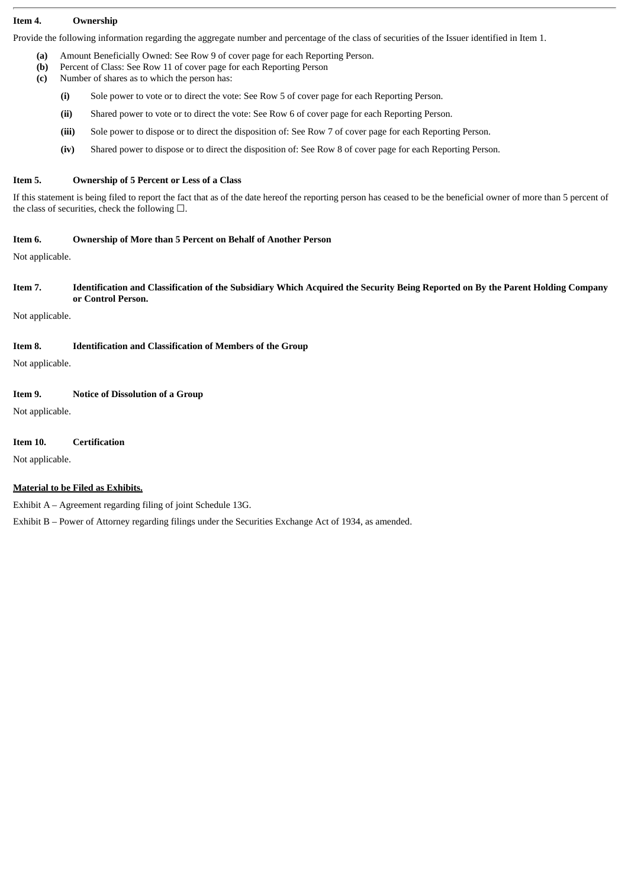#### **Item 4. Ownership**

Provide the following information regarding the aggregate number and percentage of the class of securities of the Issuer identified in Item 1.

- **(a)** Amount Beneficially Owned: See Row 9 of cover page for each Reporting Person.
- **(b)** Percent of Class: See Row 11 of cover page for each Reporting Person
- **(c)** Number of shares as to which the person has:
	- **(i)** Sole power to vote or to direct the vote: See Row 5 of cover page for each Reporting Person.
	- **(ii)** Shared power to vote or to direct the vote: See Row 6 of cover page for each Reporting Person.
	- **(iii)** Sole power to dispose or to direct the disposition of: See Row 7 of cover page for each Reporting Person.
	- **(iv)** Shared power to dispose or to direct the disposition of: See Row 8 of cover page for each Reporting Person.

#### **Item 5. Ownership of 5 Percent or Less of a Class**

If this statement is being filed to report the fact that as of the date hereof the reporting person has ceased to be the beneficial owner of more than 5 percent of the class of securities, check the following  $\square$ .

#### **Item 6. Ownership of More than 5 Percent on Behalf of Another Person**

Not applicable.

#### Item 7. Identification and Classification of the Subsidiary Which Acquired the Security Being Reported on By the Parent Holding Company **or Control Person.**

Not applicable.

#### **Item 8. Identification and Classification of Members of the Group**

Not applicable.

#### **Item 9. Notice of Dissolution of a Group**

Not applicable.

#### **Item 10. Certification**

Not applicable.

#### **Material to be Filed as Exhibits.**

Exhibit A – Agreement regarding filing of joint Schedule 13G.

Exhibit B – Power of Attorney regarding filings under the Securities Exchange Act of 1934, as amended.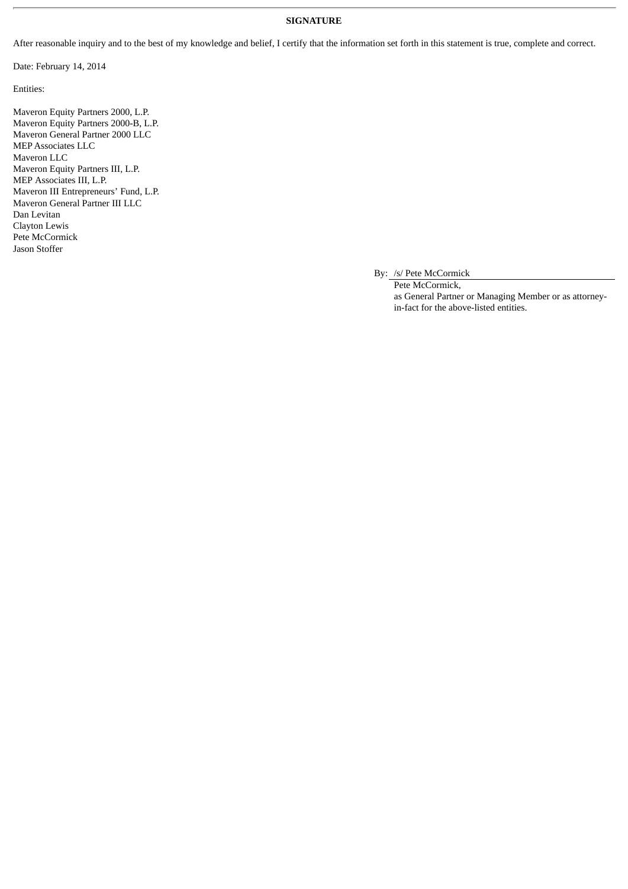#### **SIGNATURE**

After reasonable inquiry and to the best of my knowledge and belief, I certify that the information set forth in this statement is true, complete and correct.

Date: February 14, 2014

Entities:

Maveron Equity Partners 2000, L.P. Maveron Equity Partners 2000-B, L.P. Maveron General Partner 2000 LLC MEP Associates LLC Maveron LLC Maveron Equity Partners III, L.P. MEP Associates III, L.P. Maveron III Entrepreneurs' Fund, L.P. Maveron General Partner III LLC Dan Levitan Clayton Lewis Pete McCormick Jason Stoffer

By: /s/ Pete McCormick

Pete McCormick, as General Partner or Managing Member or as attorneyin-fact for the above-listed entities.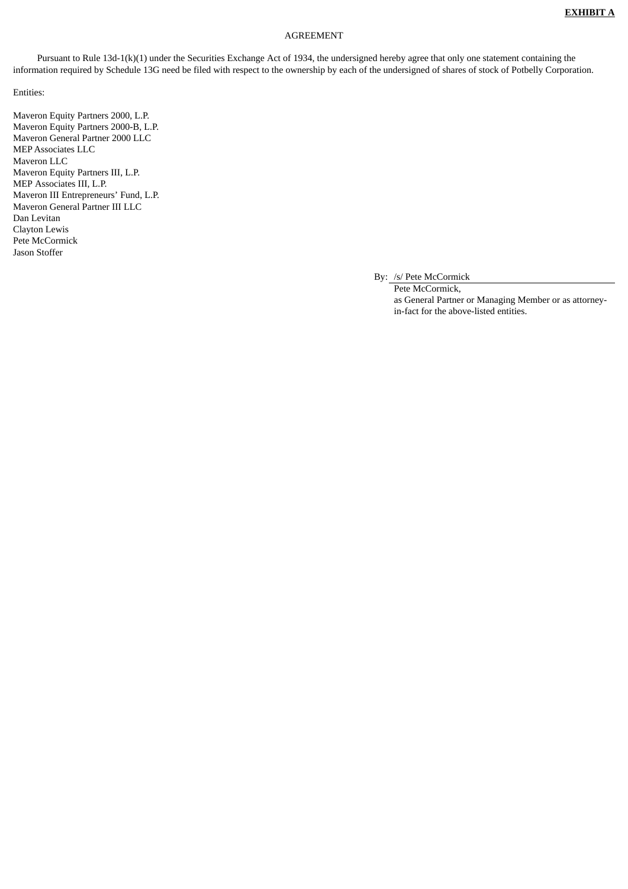#### AGREEMENT

Pursuant to Rule 13d-1(k)(1) under the Securities Exchange Act of 1934, the undersigned hereby agree that only one statement containing the information required by Schedule 13G need be filed with respect to the ownership by each of the undersigned of shares of stock of Potbelly Corporation.

Entities:

Maveron Equity Partners 2000, L.P. Maveron Equity Partners 2000-B, L.P. Maveron General Partner 2000 LLC MEP Associates LLC Maveron LLC Maveron Equity Partners III, L.P. MEP Associates III, L.P. Maveron III Entrepreneurs' Fund, L.P. Maveron General Partner III LLC Dan Levitan Clayton Lewis Pete McCormick Jason Stoffer

By: /s/ Pete McCormick

Pete McCormick, as General Partner or Managing Member or as attorneyin-fact for the above-listed entities.